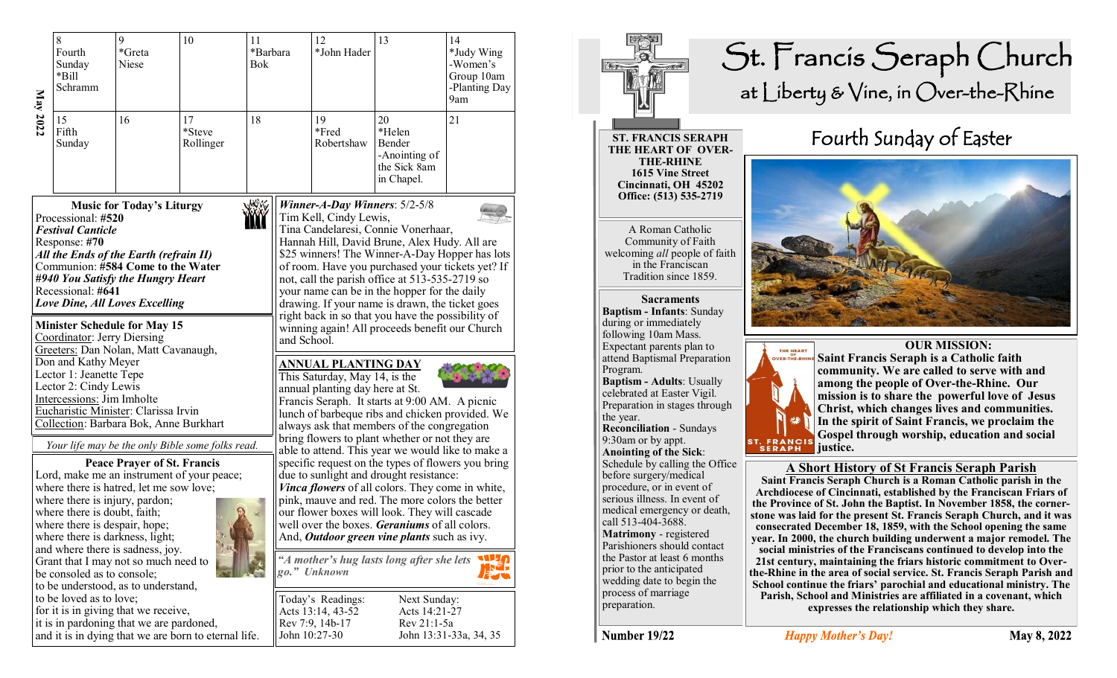| May<br>2022                                                                                     | 8<br>Fourth<br>Sunday<br>*Bill<br>Schramm | *Greta<br><b>Niese</b> | 10                        | 11<br>*Barbara<br><b>Bok</b> | 12<br>*John Hader         | 13                                                                    | 14<br>*Judy Wing<br>-Women's<br>Group 10am<br>-Planting Day<br>9am |  |  |
|-------------------------------------------------------------------------------------------------|-------------------------------------------|------------------------|---------------------------|------------------------------|---------------------------|-----------------------------------------------------------------------|--------------------------------------------------------------------|--|--|
|                                                                                                 | 15<br>Fifth<br>Sunday                     | 16                     | 17<br>*Steve<br>Rollinger | 18                           | 19<br>*Fred<br>Robertshaw | 20<br>*Helen<br>Bender<br>-Anointing of<br>the Sick 8am<br>in Chapel. | 21                                                                 |  |  |
| $\sqrt{N}$   Winner-A-Day Winners: 5/2-5/8<br><b>Music for Today's Liturgy</b><br>Common Miller |                                           |                        |                           |                              |                           |                                                                       |                                                                    |  |  |

Examples 15<br>
2022<br>
15<br>
16<br>
17<br>
16<br>
17<br>
16<br>
17<br>
16<br>
17<br>
16<br>
17<br>
16<br>
17<br>
17<br>
16<br>
17<br>
17<br>
17<br>
17<br>
17<br>
17<br>
17<br>
17<br>
17<br>
20<br>
Music for Today's Liturgy<br>
Processional: #520<br>
Festival Canticle<br>
Response: #70<br>
All the Ends of the Ea **Music for Today's Liturgy** Processional: **#520** *Festival Canticle* Response: **#70** *All the Ends of the Earth (refrain II)* Communion: **#584 Come to the Water** *#940 You Satisfy the Hungry Heart* Recessional: **#641**  *Love Dine, All Loves Excelling*

#### **Minister Schedule for May 15**

Coordinator: Jerry Diersing Greeters: Dan Nolan, Matt Cavanaugh, Don and Kathy Meyer Lector 1: Jeanette Tepe Lector 2: Cindy Lewis Intercessions: Jim Imholte Eucharistic Minister: Clarissa Irvin<br>Collection: Barbara Bok. Anne Burkhart

*Your life may be the only Bible some folks read.*

**Peace Prayer of St. Francis** Lord, make me an instrument of your peace; where there is hatred, let me sow love; where there is injury, pardon; where there is doubt, faith; where there is despair, hope; where there is darkness, light; and where there is sadness, joy. Grant that I may not so much need to be consoled as to console; to be understood, as to understand, to be loved as to love; for it is in giving that we receive, it is in pardoning that we are pardoned, and it is in dying that we are born to eternal life.



**ST. FRANCIS SERAPH**

**THE HEART OF OVER-THE-RHINE 1615 Vine Street Cincinnati, OH 45202 Office: (513) 535-2719** 

A Roman Catholic Community of Faith welcoming *all* people of faith in the Franciscan Tradition since 1859.

**Sacraments Baptism - Infants**: Sunday during or immediately following 10am Mass. Expectant parents plan to attend Baptismal Preparation Program. **Baptism - Adults**: Usually

celebrated at Easter Vigil. Preparation in stages through the year. **Reconciliation** - Sundays 9:30am or by appt. **Anointing of the Sick**: Schedule by calling the Office

before surgery/medical procedure, or in event of serious illness. In event of medical emergency or death, call 513-404-3688. **Matrimony** - registered Parishioners should contact the Pastor at least 6 months prior to the anticipated wedding date to begin the process of marriage preparation.

# St. Francis Seraph Church at Liberty & Vine, in Over-the-Rhine

## Fourth Sunday of Easter





 **OUR MISSION: Saint Francis Seraph is a Catholic faith community. We are called to serve with and among the people of Over-the-Rhine. Our mission is to share the powerful love of Jesus Christ, which changes lives and communities. In the spirit of Saint Francis, we proclaim the Gospel through worship, education and social justice.**

#### **A Short History of St Francis Seraph Parish**

**Saint Francis Seraph Church is a Roman Catholic parish in the Archdiocese of Cincinnati, established by the Franciscan Friars of the Province of St. John the Baptist. In November 1858, the cornerstone was laid for the present St. Francis Seraph Church, and it was consecrated December 18, 1859, with the School opening the same year. In 2000, the church building underwent a major remodel. The social ministries of the Franciscans continued to develop into the 21st century, maintaining the friars historic commitment to Overthe-Rhine in the area of social service. St. Francis Seraph Parish and School continue the friars' parochial and educational ministry. The Parish, School and Ministries are affiliated in a covenant, which expresses the relationship which they share.** 

Number 19/22